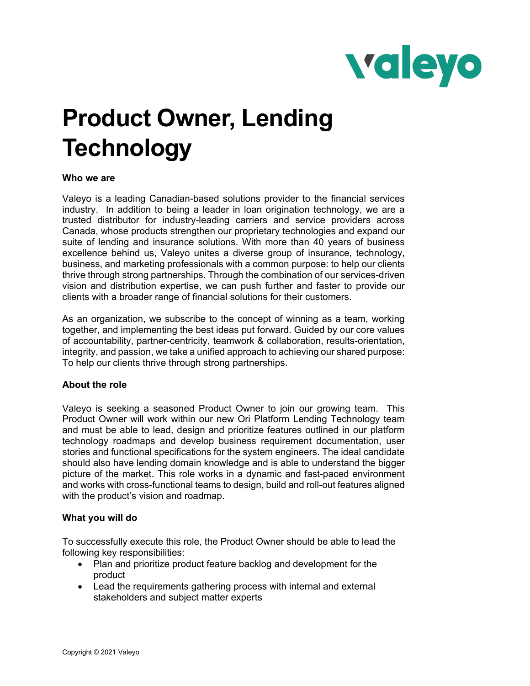

# **Product Owner, Lending Technology**

## **Who we are**

Valeyo is a leading Canadian-based solutions provider to the financial services industry. In addition to being a leader in loan origination technology, we are a trusted distributor for industry-leading carriers and service providers across Canada, whose products strengthen our proprietary technologies and expand our suite of lending and insurance solutions. With more than 40 years of business excellence behind us, Valeyo unites a diverse group of insurance, technology, business, and marketing professionals with a common purpose: to help our clients thrive through strong partnerships. Through the combination of our services-driven vision and distribution expertise, we can push further and faster to provide our clients with a broader range of financial solutions for their customers.

As an organization, we subscribe to the concept of winning as a team, working together, and implementing the best ideas put forward. Guided by our core values of accountability, partner-centricity, teamwork & collaboration, results-orientation, integrity, and passion, we take a unified approach to achieving our shared purpose: To help our clients thrive through strong partnerships.

## **About the role**

Valeyo is seeking a seasoned Product Owner to join our growing team. This Product Owner will work within our new Ori Platform Lending Technology team and must be able to lead, design and prioritize features outlined in our platform technology roadmaps and develop business requirement documentation, user stories and functional specifications for the system engineers. The ideal candidate should also have lending domain knowledge and is able to understand the bigger picture of the market. This role works in a dynamic and fast-paced environment and works with cross-functional teams to design, build and roll-out features aligned with the product's vision and roadmap.

#### **What you will do**

To successfully execute this role, the Product Owner should be able to lead the following key responsibilities:

- Plan and prioritize product feature backlog and development for the product
- Lead the requirements gathering process with internal and external stakeholders and subject matter experts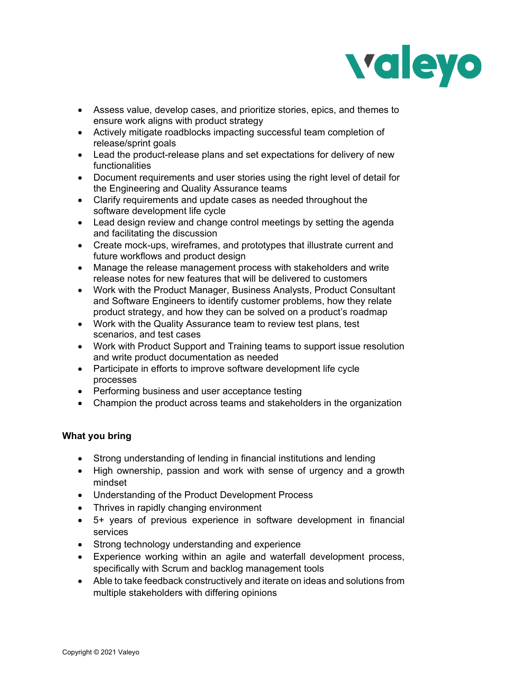

- Assess value, develop cases, and prioritize stories, epics, and themes to ensure work aligns with product strategy
- Actively mitigate roadblocks impacting successful team completion of release/sprint goals
- Lead the product-release plans and set expectations for delivery of new functionalities
- Document requirements and user stories using the right level of detail for the Engineering and Quality Assurance teams
- Clarify requirements and update cases as needed throughout the software development life cycle
- Lead design review and change control meetings by setting the agenda and facilitating the discussion
- Create mock-ups, wireframes, and prototypes that illustrate current and future workflows and product design
- Manage the release management process with stakeholders and write release notes for new features that will be delivered to customers
- Work with the Product Manager, Business Analysts, Product Consultant and Software Engineers to identify customer problems, how they relate product strategy, and how they can be solved on a product's roadmap
- Work with the Quality Assurance team to review test plans, test scenarios, and test cases
- Work with Product Support and Training teams to support issue resolution and write product documentation as needed
- Participate in efforts to improve software development life cycle processes
- Performing business and user acceptance testing
- Champion the product across teams and stakeholders in the organization

# **What you bring**

- Strong understanding of lending in financial institutions and lending
- High ownership, passion and work with sense of urgency and a growth mindset
- Understanding of the Product Development Process
- Thrives in rapidly changing environment
- 5+ years of previous experience in software development in financial services
- Strong technology understanding and experience
- Experience working within an agile and waterfall development process, specifically with Scrum and backlog management tools
- Able to take feedback constructively and iterate on ideas and solutions from multiple stakeholders with differing opinions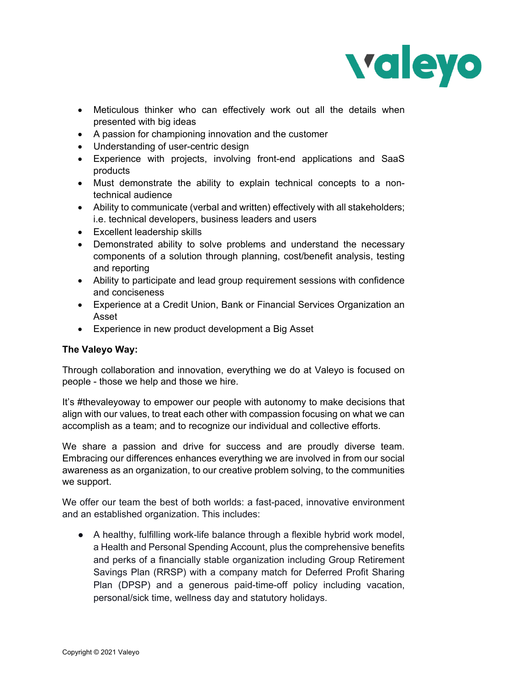

- Meticulous thinker who can effectively work out all the details when presented with big ideas
- A passion for championing innovation and the customer
- Understanding of user-centric design
- Experience with projects, involving front-end applications and SaaS products
- Must demonstrate the ability to explain technical concepts to a nontechnical audience
- Ability to communicate (verbal and written) effectively with all stakeholders; i.e. technical developers, business leaders and users
- Excellent leadership skills
- Demonstrated ability to solve problems and understand the necessary components of a solution through planning, cost/benefit analysis, testing and reporting
- Ability to participate and lead group requirement sessions with confidence and conciseness
- Experience at a Credit Union, Bank or Financial Services Organization an Asset
- Experience in new product development a Big Asset

## **The Valeyo Way:**

Through collaboration and innovation, everything we do at Valeyo is focused on people - those we help and those we hire.

It's #thevaleyoway to empower our people with autonomy to make decisions that align with our values, to treat each other with compassion focusing on what we can accomplish as a team; and to recognize our individual and collective efforts.

We share a passion and drive for success and are proudly diverse team. Embracing our differences enhances everything we are involved in from our social awareness as an organization, to our creative problem solving, to the communities we support.

We offer our team the best of both worlds: a fast-paced, innovative environment and an established organization. This includes:

 $\bullet$  A healthy, fulfilling work-life balance through a flexible hybrid work model, a Health and Personal Spending Account, plus the comprehensive benefits and perks of a financially stable organization including Group Retirement Savings Plan (RRSP) with a company match for Deferred Profit Sharing Plan (DPSP) and a generous paid-time-off policy including vacation, personal/sick time, wellness day and statutory holidays.